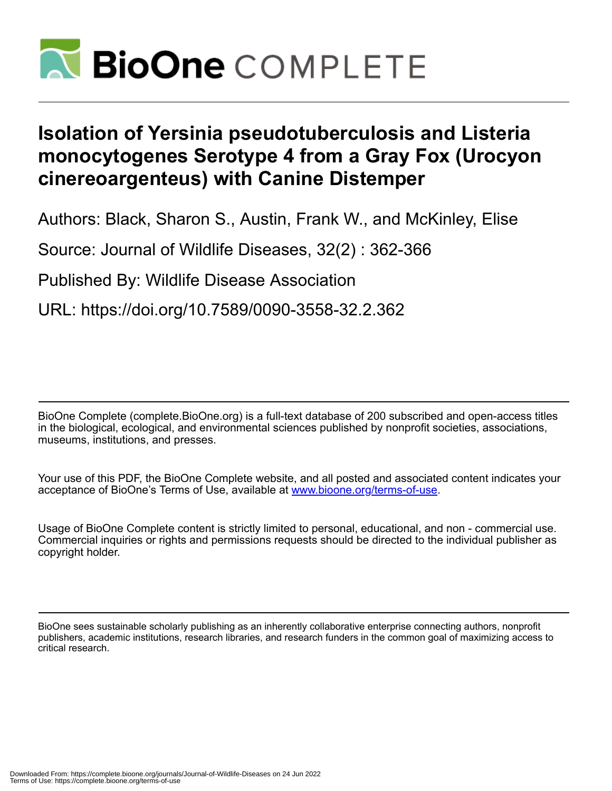

## **Isolation of Yersinia pseudotuberculosis and Listeria monocytogenes Serotype 4 from a Gray Fox (Urocyon cinereoargenteus) with Canine Distemper**

Authors: Black, Sharon S., Austin, Frank W., and McKinley, Elise

Source: Journal of Wildlife Diseases, 32(2) : 362-366

Published By: Wildlife Disease Association

URL: https://doi.org/10.7589/0090-3558-32.2.362

BioOne Complete (complete.BioOne.org) is a full-text database of 200 subscribed and open-access titles in the biological, ecological, and environmental sciences published by nonprofit societies, associations, museums, institutions, and presses.

Your use of this PDF, the BioOne Complete website, and all posted and associated content indicates your acceptance of BioOne's Terms of Use, available at www.bioone.org/terms-of-use.

Usage of BioOne Complete content is strictly limited to personal, educational, and non - commercial use. Commercial inquiries or rights and permissions requests should be directed to the individual publisher as copyright holder.

BioOne sees sustainable scholarly publishing as an inherently collaborative enterprise connecting authors, nonprofit publishers, academic institutions, research libraries, and research funders in the common goal of maximizing access to critical research.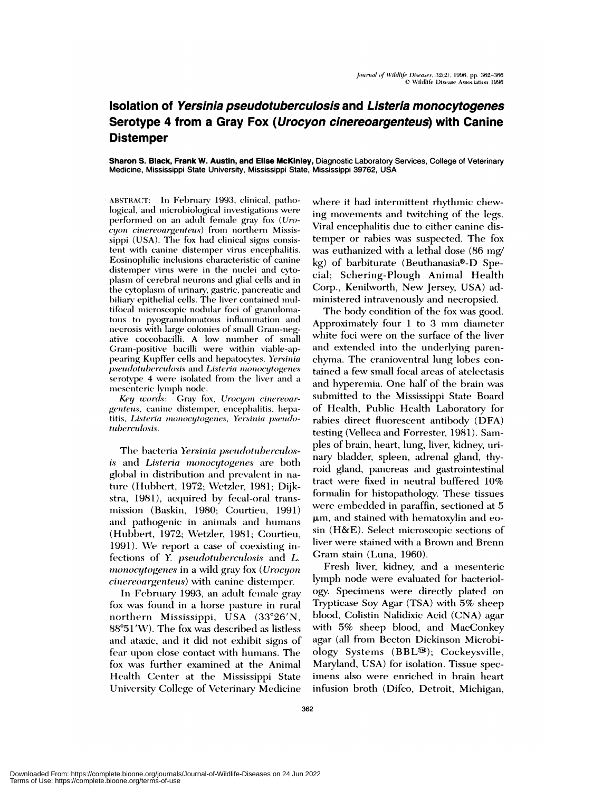## Isolation of Yersinia pseudotuberculosis and Listeria monocytogenes Serotype 4 from a Gray Fox (*Urocyon cinereoargenteus*) with Canine **Distemper**

Sharon S. Black, Frank W. Austin, and Elise McKinley, Diagnostic Laboratory Services, College of Veterinary Medicine, Mississippi State University, Mississippi State, Mississippi 39762, USA

ABSTRACT: In February 1993, clinical, pathological, and microbiological investigations were performed on an adult female gray fox (Uro*cyon cinereoargenteus*) from northern Mississippi (USA). The fox had clinical signs consistent with canine distemper virus encephalitis. Eosinophilic inclusions characteristic of canine distemper virus were in the nuclei and cytoplasm of cerebral neurons and glial cells and in the cytoplasm of urinary, gastric, pancreatic and biliary epithelial cells. The liver contained multifocal microscopic nodular foci of granulomatous to pyogranulomatous inflammation and necrosis with large colonies of small Gram-negative coccobacilli. A low number of small Gram-positive bacilli were within viable-appearing Kupffer cells and hepatocytes. Yersinia pseudotuberculosis and Listeria monocytogenes serotype 4 were isolated from the liver and a mesenteric lymph node.

Key words: Gray fox, Urocyon cinereoargenteus, canine distemper, encephalitis, hepatitis, Listeria monocytogenes, Yersinia pseudotuberculosis.

The bacteria Yersinia pseudotuberculosis and Listeria monocytogenes are both global in distribution and prevalent in nature (Hubbert, 1972; Wetzler, 1981; Dijkstra, 1981), acquired by fecal-oral transmission (Baskin, 1980; Courtieu, 1991) and pathogenic in animals and humans (Hubbert, 1972; Wetzler, 1981; Courtieu, 1991). We report a case of coexisting infections of Y. pseudotuberculosis and L. monocytogenes in a wild gray fox (Urocyon *cinereoargenteus*) with canine distemper.

In February 1993, an adult female gray fox was found in a horse pasture in rural northern Mississippi, USA (33°26'N, 88°51′W). The fox was described as listless and ataxic, and it did not exhibit signs of fear upon close contact with humans. The fox was further examined at the Animal Health Center at the Mississippi State University College of Veterinary Medicine where it had intermittent rhythmic chewing movements and twitching of the legs. Viral encephalitis due to either canine distemper or rabies was suspected. The fox was euthanized with a lethal dose (86 mg/ kg) of barbiturate (Beuthanasia®-D Special; Schering-Plough Animal Health Corp., Kenilworth, New Jersey, USA) administered intravenously and necropsied.

The body condition of the fox was good. Approximately four 1 to 3 mm diameter white foci were on the surface of the liver and extended into the underlying parenchyma. The cranioventral lung lobes contained a few small focal areas of atelectasis and hyperemia. One half of the brain was submitted to the Mississippi State Board of Health, Public Health Laboratory for rabies direct fluorescent antibody (DFA) testing (Velleca and Forrester, 1981). Samples of brain, heart, lung, liver, kidney, urinary bladder, spleen, adrenal gland, thyroid gland, pancreas and gastrointestinal tract were fixed in neutral buffered 10% formalin for histopathology. These tissues were embedded in paraffin, sectioned at 5 µm, and stained with hematoxylin and eosin (H&E). Select microscopic sections of liver were stained with a Brown and Brenn Gram stain (Luna, 1960).

Fresh liver, kidney, and a mesenteric lymph node were evaluated for bacteriology. Specimens were directly plated on Trypticase Soy Agar (TSA) with 5% sheep blood, Colistin Nalidixic Acid (CNA) agar with 5% sheep blood, and MacConkey agar (all from Becton Dickinson Microbiology Systems (BBL<sup>®)</sup>; Cockeysville, Maryland, USA) for isolation. Tissue specimens also were enriched in brain heart infusion broth (Difco, Detroit, Michigan,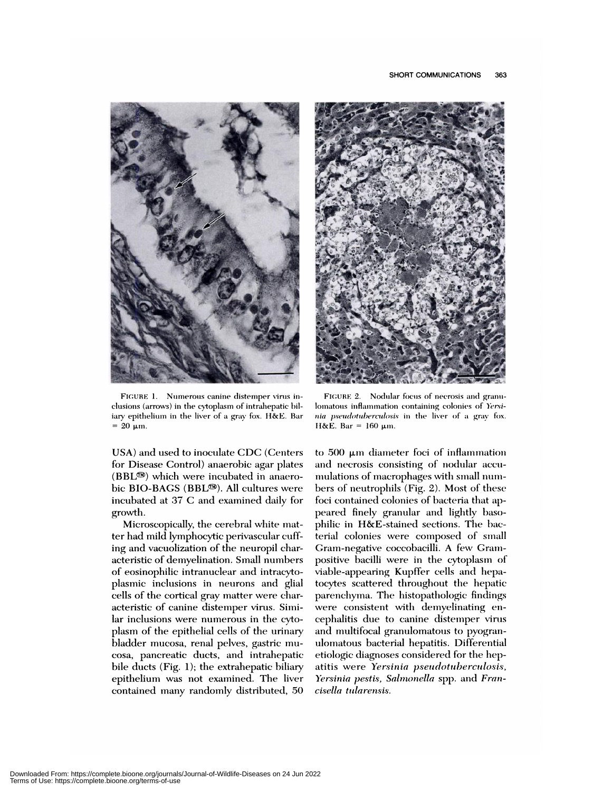

FIGURE 1. Numerous canine distemper virus inclusions (arrows) in the cytoplasm of intrahepatic biliary epithelium in the liver of a gray fox. H&E. Bar  $= 20 \text{ µm}.$ 

USA) and used to inoculate CDC (Centers for Disease Control) anaerobic agar plates  $(BBL^{\circledR})$  which were incubated in anaerobic BIO-BAGS (BBL<sup>®)</sup>. All cultures were incubated at 37 C and examined daily for growth.

Microscopically, the cerebral white matter had mild lymphocytic perivascular cuffing and vacuolization of the neuropil characteristic of demyelination. Small numbers of eosinophilic intranuclear and intracytoplasmic inclusions in neurons and glial cells of the cortical gray matter were characteristic of canine distemper virus. Similar inclusions were numerous in the cytoplasm of the epithelial cells of the urinary bladder mucosa, renal pelves, gastric mucosa, pancreatic ducts, and intrahepatic bile ducts  $(Fig. 1)$ ; the extrahepatic biliary epithelium was not examined. The liver contained many randomly distributed, 50



FIGURE 2. Nodular focus of necrosis and granulomatous inflammation containing colonies of Yersinia pseudotuberculosis in the liver of a gray fox. H&E. Bar =  $160 \mu m$ .

to 500 μm diameter foci of inflammation and necrosis consisting of nodular accumulations of macrophages with small numbers of neutrophils (Fig. 2). Most of these foci contained colonies of bacteria that appeared finely granular and lightly basophilic in H&E-stained sections. The bacterial colonies were composed of small Gram-negative coccobacilli. A few Grampositive bacilli were in the cytoplasm of viable-appearing Kupffer cells and hepatocytes scattered throughout the hepatic parenchyma. The histopathologic findings were consistent with demyelinating encephalitis due to canine distemper virus and multifocal granulomatous to pyogranulomatous bacterial hepatitis. Differential etiologic diagnoses considered for the hepatitis were Yersinia pseudotuberculosis, Yersinia pestis, Salmonella spp. and Francisella tularensis.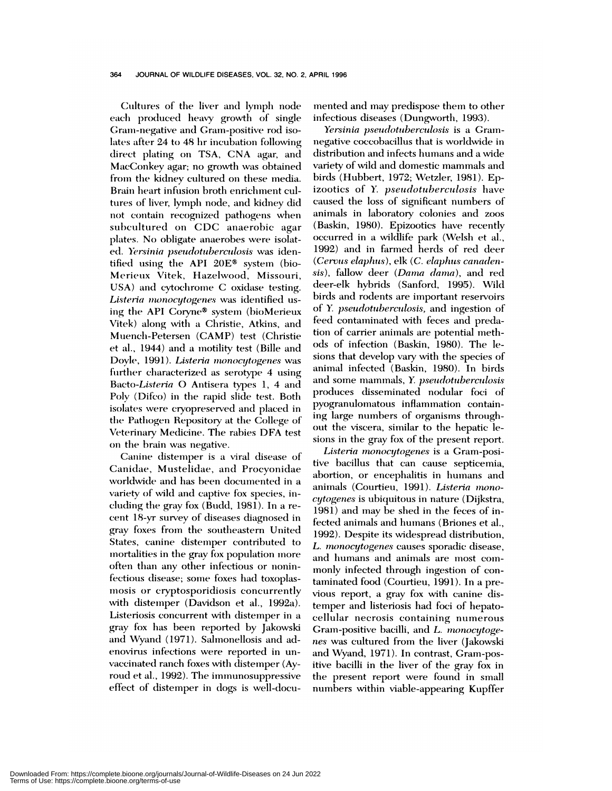Cultures of the liver and lymph node each produced heavy growth of single Gram-negative and Gram-positive rod isolates after 24 to 48 hr incubation following direct plating on TSA, CNA agar, and MacConkey agar; no growth was obtained from the kidney cultured on these media. Brain heart infusion broth enrichment cultures of liver, lymph node, and kidney did not contain recognized pathogens when subcultured on CDC anaerobic agar plates. No obligate anaerobes were isolated. Yersinia pseudotuberculosis was identified using the API 20E® system (bio-Merieux Vitek, Hazelwood, Missouri, USA) and cytochrome C oxidase testing. Listeria monocytogenes was identified using the API Coryne® system (bioMerieux Vitek) along with a Christie, Atkins, and Muench-Petersen (CAMP) test (Christie et al., 1944) and a motility test (Bille and Doyle, 1991). Listeria monocytogenes was further characterized as serotype 4 using Bacto-Listeria O Antisera types 1, 4 and Poly (Difco) in the rapid slide test. Both isolates were cryopreserved and placed in the Pathogen Repository at the College of Veterinary Medicine. The rabies DFA test on the brain was negative.

Canine distemper is a viral disease of Canidae, Mustelidae, and Procyonidae worldwide and has been documented in a variety of wild and captive fox species, including the gray fox (Budd, 1981). In a recent 18-yr survey of diseases diagnosed in gray foxes from the southeastern United States, canine distemper contributed to mortalities in the gray fox population more often than any other infectious or noninfectious disease; some foxes had toxoplasmosis or cryptosporidiosis concurrently with distemper (Davidson et al., 1992a). Listeriosis concurrent with distemper in a gray fox has been reported by Jakowski and Wyand (1971). Salmonellosis and adenovirus infections were reported in unvaccinated ranch foxes with distemper (Ayroud et al., 1992). The immunosuppressive effect of distemper in dogs is well-docu-

mented and may predispose them to other infectious diseases (Dungworth, 1993).

Yersinia pseudotuberculosis is a Gramnegative coccobacillus that is worldwide in distribution and infects humans and a wide variety of wild and domestic mammals and birds (Hubbert, 1972; Wetzler, 1981). Epizootics of Y. pseudotuberculosis have caused the loss of significant numbers of animals in laboratory colonies and zoos (Baskin, 1980). Epizootics have recently occurred in a wildlife park (Welsh et al., 1992) and in farmed herds of red deer (Cervus elaphus), elk (C. elaphus canadensis), fallow deer (Dama dama), and red deer-elk hybrids (Sanford, 1995). Wild birds and rodents are important reservoirs of Y. pseudotuberculosis, and ingestion of feed contaminated with feces and predation of carrier animals are potential methods of infection (Baskin, 1980). The lesions that develop vary with the species of animal infected (Baskin, 1980). In birds and some mammals, Y. pseudotuberculosis produces disseminated nodular foci of pyogranulomatous inflammation containing large numbers of organisms throughout the viscera, similar to the hepatic lesions in the gray fox of the present report.

Listeria monocytogenes is a Gram-positive bacillus that can cause septicemia, abortion, or encephalitis in humans and animals (Courtieu, 1991). Listeria monocytogenes is ubiquitous in nature (Dijkstra, 1981) and may be shed in the feces of infected animals and humans (Briones et al., 1992). Despite its widespread distribution, L. monocytogenes causes sporadic disease, and humans and animals are most commonly infected through ingestion of contaminated food (Courtieu, 1991). In a previous report, a gray fox with canine distemper and listeriosis had foci of hepatocellular necrosis containing numerous Gram-positive bacilli, and L. monocytogenes was cultured from the liver (Jakowski and Wyand, 1971). In contrast, Gram-positive bacilli in the liver of the gray fox in the present report were found in small numbers within viable-appearing Kupffer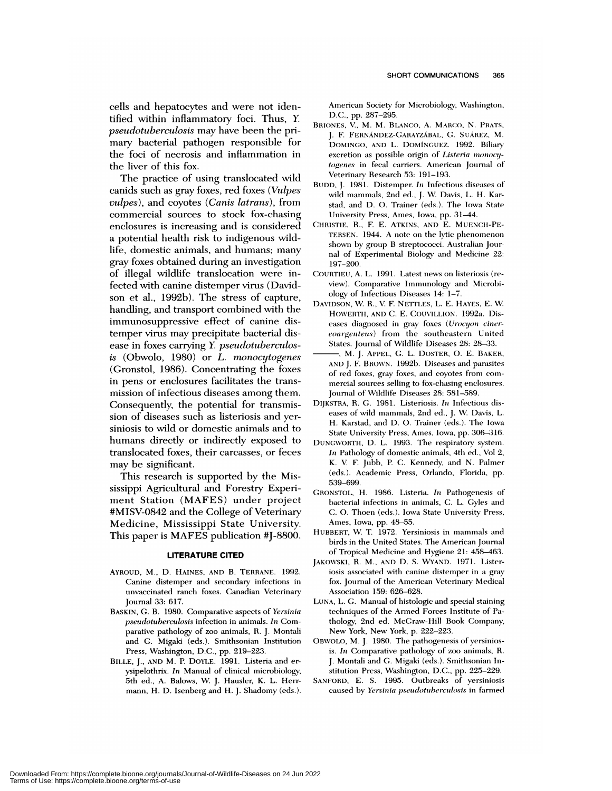cells and hepatocytes and were not identified within inflammatory foci. Thus, *Y. pseudotuberculosis* may have been the primary bacterial pathogen responsible for the foci of necrosis and inflammation in the liver of this fox.

The practice of using translocated wild canids such as gray foxes, red foxes *(Vulpes vulpes),* and coyotes *(Canis latrans),* from commercial sources to stock fox-chasing enclosures is increasing and is considered a potential health risk to indigenous wildlife, domestic animals, and humans; many gray foxes obtained during an investigation of illegal wildlife translocation were infected with canine distemper virus (David son et al., 1992b). The stress of capture, handling, and transport combined with the immunosuppressive effect of canine distemper virus may precipitate bacterial dis ease in foxes carrying Y. *pseudotuberculosis* (Obwolo, 1980) or *L. monocytogenes* (Gronstol, 1986). Concentrating the foxes in pens or enclosures facilitates the trans mission of infectious diseases among them. Consequently, the potential for transmission of diseases such as listeriosis and yersiniosis to wild or domestic animals and to humans directly or indirectly exposed to translocated foxes, their carcasses, or feces may be significant.

This research is supported by the Mississippi Agricultural and Forestry Experi ment Station (MAFES) under project #MISV-0842 and the College of Veterinary Medicine, Mississippi State University. This paper is MAFES publication #J-8800.

## **LITERATURE CITED**

- AYROUD, M., D. HAINES, AND B. TERRANE. 1992. Canine distemper and secondary infections in unvaccinated ranch foxes. Canadian Veterinary Journal 33: 617.
- **BASKIN,** G. B. 1980. Comparative aspects of *Yersinia pseudotuberculosis* infection in animals. *In* Com parative pathology of zoo animals, R. J. Montali and G. Migaki (eds.). Smithsonian Institution Press, Washington, D.C., pp. 219-223.
- BILLE, J., AND M. P. DoYLE. 1991. Listeria and er ysipelothrix. In Manual of clinical microbiology, 5th ed., A. Balows, W J. Hausler, K. L. Herr mann, H. D. Isenberg and H. J. Shadomy (eds.).

American Society for Microbiology, Washington, D.C., pp. 287-295.

- **BRIONES, V.,** M. M. **BLANCO, A. MARCO, N.** PRATS, 1. F. **FERNANDEz-GARAYzABAL,** C;. SuAREz, M. DoMINGo, **AND L. DOMINGUEZ.** 1992. Biliary excretion as possible origin of *Listeria monocy*togenes in fecal carriers. American Journal of Veterinary Research 53: 191-193.
- BUDD, J. 1981. Distemper. *In* Infectious diseases of wild mammals, 2nd ed., J. W. Davis, L. H. Karstad, and D. O. Trainer (eds.). The Iowa State University Press, Ames, Iowa, pp. 31-44.
- CHRISTIE, R., F. E. ATKINS, AND E. MUENCH-PE- TERSEN. 1944. A note on the lytic phenomenon shown by group B streptococci. Australian Jour nal of Experimental Biology and Medicine 22: 197-200.
- COURTIEU, A. L. 1991. Latest news on listeriosis (review). Comparative Immunology and Microbiology of Infectious Diseases 14: 1-7.
- DAVIDSON, \V. R., V F. NETTLES, L. E. HAYES, E. W. HOWERTH, AND C. E. COUVILLION. 1992a. Diseases diagnosed in gray foxes (Urocyon ciner $e$  *<i>eoargenteus*) from the southeastern United States. Journal of Wildlife Diseases 28: 28-33.
- **,** M. J. APPEL, G. L. DOSTER, 0. E. BAKER, **AND** J. F. BROWN. 1992b. Diseases amid **parasites of** red foxes, gray foxes, aimd **coyotes fronm coin-miuercial sources** selling to fox-chasing emmclosures. Journal of Wildlife Diseases 28: 581-589.
- DIJKSTRA, R. G. 1981. **Listeriosis.** *In* Infectious dis eases of wild mammals, 2nd ed., J. W. Davis, L. H. Karstad, and D. O. Trainer (eds.). The Iowa State University Press, Ames, Iowa, pp. 306-316.
- DUNGWORTH, D. L. 1993. The respiratory system. In Pathology of domestic animals, 4th ed., Vol  $2$ , K. V. F. Jubb, P. C. Kennedy, and N. Palmer (eds.). Academic Press, Orlando, Florida, pp. 539-699.
- GRONSTOL, H. 1986. Listeria. In Pathogenesis of bacterial infections in animals, C. L. Gyles and C. 0. Thoen (eds.). Iowa State University Press, Ames, Iowa, pp. 48-55.
- HUBBERT, W. T. 1972. Yersiniosis in mammals and birds in the United States. The American Journal of Tropical Medicine and Hygiene 21: 458-463.
- JAKOWSKI, R. M., AND D. S. WYAND. 1971. Listeriosis associated with canine distemper in a gray fox. Journal of the American Veterinary Medical Association 159: 626-628.
- LUNA, L. G. Manual of histologic and special staining techniques of the Armed Forces Institute of Pathology, 2nd ed. McGraw-Hill Book Company, New York, New York, p. 222-223.
- OBWOLO, M. J. 1980. The pathogenesis of yersiniosis. *In* Comparative pathology of zoo animals, R. J. Montaii and G. Migaki (eds.). Smithsonian Institution Press, Washington, D.C., pp. 225-229.
- SANFORD, E. S. 1995. Outbreaks of yersiniosis caused by Yersinia *pseudotuberculosis* in farmed